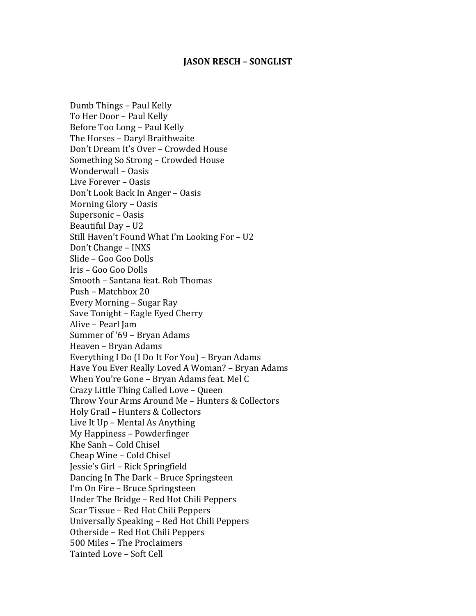## **JASON RESCH – SONGLIST**

Dumb Things - Paul Kelly To Her Door - Paul Kelly Before Too Long – Paul Kelly The Horses - Daryl Braithwaite Don't Dream It's Over – Crowded House Something So Strong – Crowded House Wonderwall - Oasis Live Forever – Oasis Don't Look Back In Anger - Oasis Morning Glory - Oasis Supersonic – Oasis Beautiful Day  $- U2$ Still Haven't Found What I'm Looking For - U2 Don't Change – INXS Slide – Goo Goo Dolls Iris - Goo Goo Dolls Smooth – Santana feat. Rob Thomas Push – Matchbox 20 Every Morning – Sugar Ray Save Tonight - Eagle Eyed Cherry Alive - Pearl Jam Summer of '69 – Bryan Adams Heaven – Bryan Adams Everything I Do (I Do It For You) – Bryan Adams Have You Ever Really Loved A Woman? - Bryan Adams When You're Gone – Bryan Adams feat. Mel C Crazy Little Thing Called Love – Queen Throw Your Arms Around Me - Hunters & Collectors Holy Grail - Hunters & Collectors Live It Up - Mental As Anything My Happiness – Powderfinger Khe Sanh - Cold Chisel Cheap Wine – Cold Chisel Jessie's Girl – Rick Springfield Dancing In The Dark – Bruce Springsteen I'm On Fire – Bruce Springsteen Under The Bridge – Red Hot Chili Peppers Scar Tissue – Red Hot Chili Peppers Universally Speaking - Red Hot Chili Peppers Otherside - Red Hot Chili Peppers 500 Miles - The Proclaimers Tainted Love - Soft Cell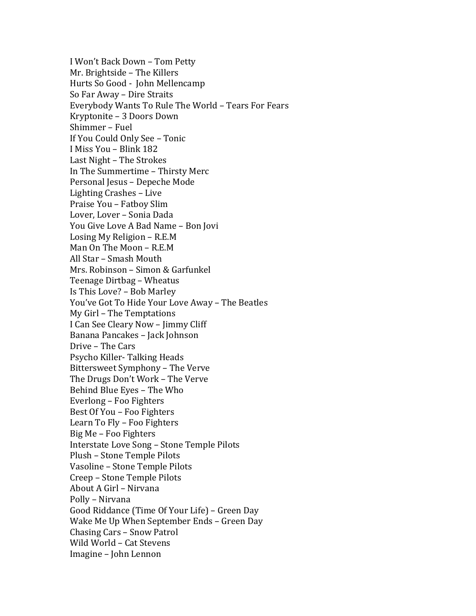I Won't Back Down - Tom Petty Mr. Brightside - The Killers Hurts So Good - John Mellencamp So Far Away – Dire Straits Everybody Wants To Rule The World – Tears For Fears Kryptonite – 3 Doors Down Shimmer - Fuel If You Could Only See - Tonic I Miss You - Blink 182 Last Night - The Strokes In The Summertime - Thirsty Merc Personal Jesus - Depeche Mode Lighting Crashes - Live Praise You – Fatboy Slim Lover, Lover - Sonia Dada You Give Love A Bad Name - Bon Jovi Losing My Religion – R.E.M Man On The Moon – R.E.M All Star – Smash Mouth Mrs. Robinson - Simon & Garfunkel Teenage Dirtbag – Wheatus Is This Love? – Bob Marley You've Got To Hide Your Love Away - The Beatles My Girl - The Temptations I Can See Cleary Now - Jimmy Cliff Banana Pancakes - Jack Johnson Drive – The Cars Psycho Killer-Talking Heads Bittersweet Symphony - The Verve The Drugs Don't Work - The Verve Behind Blue Eves - The Who Everlong – Foo Fighters Best Of You – Foo Fighters Learn To Fly – Foo Fighters Big  $Me$  – Foo Fighters Interstate Love Song - Stone Temple Pilots Plush - Stone Temple Pilots Vasoline – Stone Temple Pilots Creep - Stone Temple Pilots About A Girl - Nirvana Polly – Nirvana Good Riddance (Time Of Your Life) - Green Day Wake Me Up When September Ends - Green Day Chasing Cars – Snow Patrol Wild World - Cat Stevens Imagine – John Lennon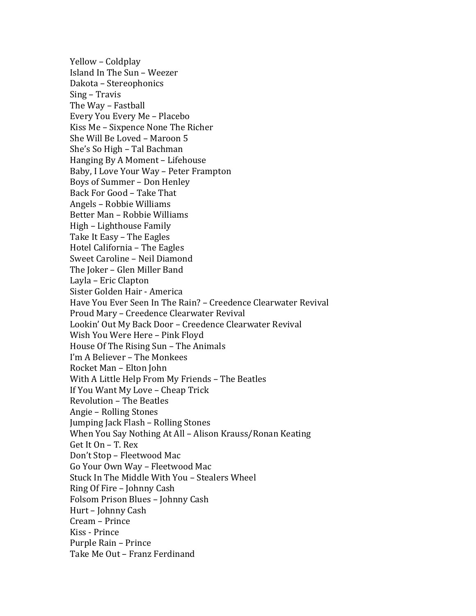Yellow – Coldplay Island In The Sun - Weezer Dakota - Stereophonics Sing – Travis The Way – Fastball Every You Every Me – Placebo Kiss Me - Sixpence None The Richer She Will Be Loved - Maroon 5 She's So High – Tal Bachman Hanging By A Moment – Lifehouse Baby, I Love Your Way – Peter Frampton Boys of Summer - Don Henley Back For Good - Take That Angels – Robbie Williams Better Man – Robbie Williams High – Lighthouse Family Take It Easy – The Eagles Hotel California - The Eagles Sweet Caroline - Neil Diamond The Joker - Glen Miller Band Layla – Eric Clapton Sister Golden Hair - America Have You Ever Seen In The Rain? – Creedence Clearwater Revival Proud Mary – Creedence Clearwater Revival Lookin' Out My Back Door - Creedence Clearwater Revival Wish You Were Here - Pink Floyd House Of The Rising Sun – The Animals I'm A Believer - The Monkees Rocket Man – Elton John With A Little Help From My Friends - The Beatles If You Want My Love - Cheap Trick Revolution - The Beatles Angie – Rolling Stones Jumping Jack Flash – Rolling Stones When You Say Nothing At All - Alison Krauss/Ronan Keating Get It On - T. Rex Don't Stop - Fleetwood Mac Go Your Own Way - Fleetwood Mac Stuck In The Middle With You - Stealers Wheel Ring Of Fire – Johnny Cash Folsom Prison Blues - Johnny Cash Hurt – Johnny Cash Cream – Prince Kiss - Prince Purple Rain – Prince Take Me Out – Franz Ferdinand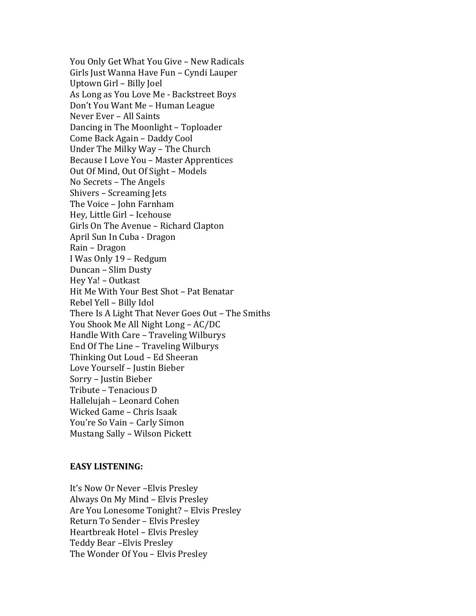You Only Get What You Give - New Radicals Girls Just Wanna Have Fun - Cyndi Lauper Uptown Girl - Billy Joel As Long as You Love Me - Backstreet Boys Don't You Want Me - Human League Never Ever - All Saints Dancing in The Moonlight – Toploader Come Back Again - Daddy Cool Under The Milky Way – The Church Because I Love You - Master Apprentices Out Of Mind, Out Of Sight - Models No Secrets – The Angels Shivers – Screaming Jets The Voice – John Farnham Hey, Little Girl - Icehouse Girls On The Avenue - Richard Clapton April Sun In Cuba - Dragon Rain – Dragon I Was Only 19 – Redgum Duncan – Slim Dusty Hey Ya! - Outkast Hit Me With Your Best Shot - Pat Benatar Rebel Yell – Billy Idol There Is A Light That Never Goes Out - The Smiths You Shook Me All Night Long - AC/DC Handle With Care – Traveling Wilburys End Of The Line - Traveling Wilburys Thinking Out Loud – Ed Sheeran Love Yourself - Justin Bieber Sorry - Justin Bieber Tribute - Tenacious D Hallelujah - Leonard Cohen Wicked Game – Chris Isaak You're So Vain – Carly Simon Mustang Sally – Wilson Pickett

## **EASY LISTENING:**

It's Now Or Never - Elvis Presley Always On My Mind – Elvis Presley Are You Lonesome Tonight? - Elvis Presley Return To Sender - Elvis Presley Heartbreak Hotel - Elvis Presley Teddy Bear - Elvis Presley The Wonder Of You - Elvis Presley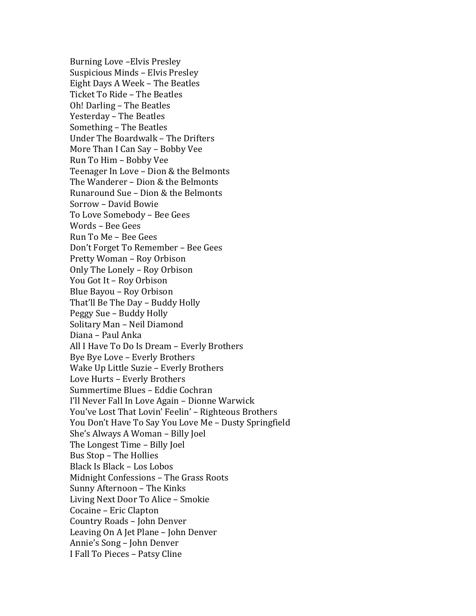Burning Love - Elvis Presley Suspicious Minds - Elvis Presley Eight Days A Week - The Beatles Ticket To Ride - The Beatles Oh! Darling – The Beatles Yesterday – The Beatles Something – The Beatles Under The Boardwalk – The Drifters More Than I Can Say – Bobby Vee Run To Him - Bobby Vee Teenager In Love - Dion & the Belmonts The Wanderer – Dion & the Belmonts Runaround Sue – Dion & the Belmonts Sorrow - David Bowie To Love Somebody - Bee Gees Words – Bee Gees Run To Me – Bee Gees Don't Forget To Remember - Bee Gees Pretty Woman – Roy Orbison Only The Lonely - Roy Orbison You Got It - Roy Orbison Blue Bayou – Roy Orbison That'll Be The Day – Buddy Holly Peggy Sue – Buddy Holly Solitary Man - Neil Diamond Diana – Paul Anka All I Have To Do Is Dream - Everly Brothers Bye Bye Love – Everly Brothers Wake Up Little Suzie - Everly Brothers Love Hurts - Everly Brothers Summertime Blues – Eddie Cochran I'll Never Fall In Love Again – Dionne Warwick You've Lost That Lovin' Feelin' - Righteous Brothers You Don't Have To Say You Love Me – Dusty Springfield She's Always A Woman – Billy Joel The Longest Time - Billy Joel Bus Stop - The Hollies Black Is Black – Los Lobos Midnight Confessions – The Grass Roots Sunny Afternoon - The Kinks Living Next Door To Alice – Smokie Cocaine – Eric Clapton Country Roads – John Denver Leaving On A Jet Plane - John Denver Annie's Song – John Denver I Fall To Pieces - Patsy Cline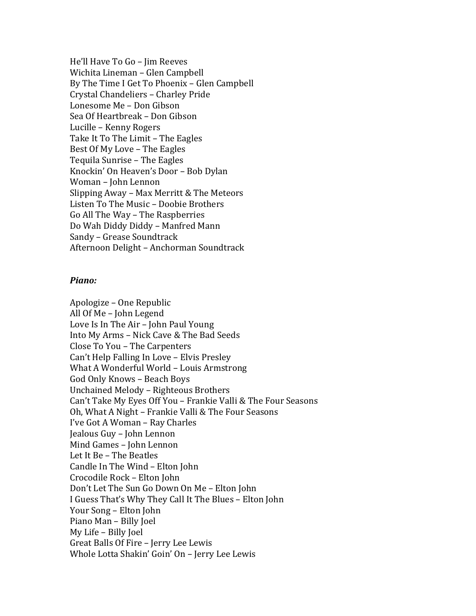He'll Have To Go - Jim Reeves Wichita Lineman - Glen Campbell By The Time I Get To Phoenix – Glen Campbell Crystal Chandeliers - Charley Pride Lonesome Me - Don Gibson Sea Of Heartbreak – Don Gibson Lucille – Kenny Rogers Take It To The Limit - The Eagles Best Of My Love – The Eagles Tequila Sunrise – The Eagles Knockin' On Heaven's Door - Bob Dylan Woman – John Lennon Slipping Away – Max Merritt  $&$  The Meteors Listen To The Music - Doobie Brothers Go All The Way – The Raspberries Do Wah Diddy Diddy – Manfred Mann Sandy – Grease Soundtrack Afternoon Delight - Anchorman Soundtrack

## *Piano:*

Apologize – One Republic All Of Me - John Legend Love Is In The Air - John Paul Young Into My Arms - Nick Cave & The Bad Seeds Close To You - The Carpenters Can't Help Falling In Love – Elvis Presley What A Wonderful World - Louis Armstrong God Only Knows - Beach Boys Unchained Melody - Righteous Brothers Can't Take My Eyes Off You - Frankie Valli & The Four Seasons Oh, What A Night – Frankie Valli & The Four Seasons I've Got A Woman – Ray Charles Jealous Guy - John Lennon Mind Games - John Lennon Let It Be - The Beatles Candle In The Wind – Elton John Crocodile Rock – Elton John Don't Let The Sun Go Down On Me - Elton John I Guess That's Why They Call It The Blues - Elton John Your Song – Elton John Piano Man – Billy Joel My Life – Billy Joel Great Balls Of Fire - Jerry Lee Lewis Whole Lotta Shakin' Goin' On - Jerry Lee Lewis